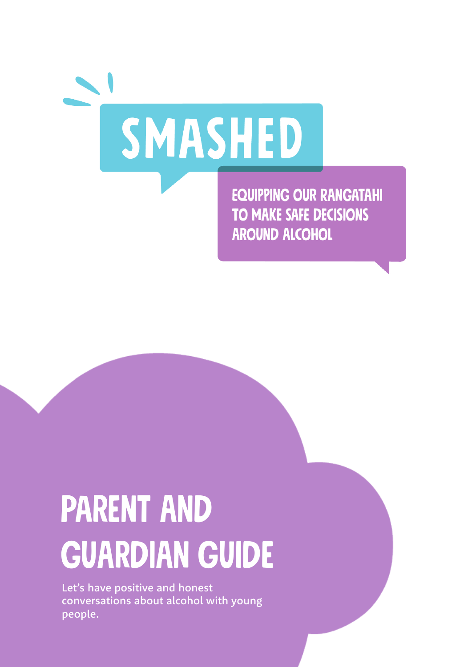

**EQUIPPING OUR RANGATAHI** TO MAKE SAFE DECISIONS **AROUND ALCOHOL** 

# Parent and **GUARDIAN GUIDE**

Let's have positive and honest conversations about alcohol with young people.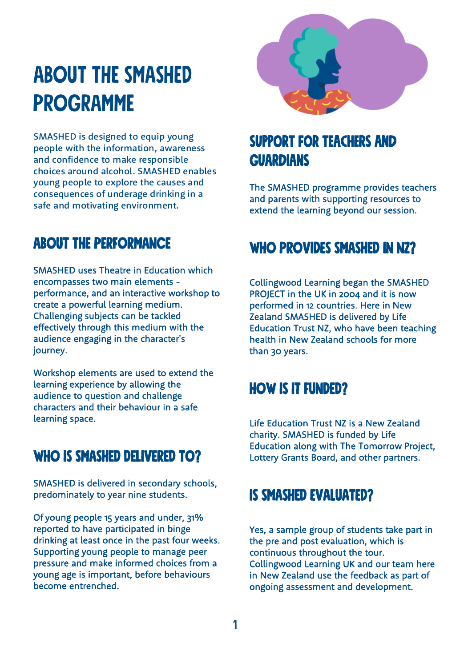# ABOUT THE SMASHED **PROGRAMME**

SMASHED is designed to equip young<br>people with the information, awareness<br>and confidence to make responsible<br>choices around alcohol. SMASHED enables<br>young people to explore the causes and<br>consequences of underage drinking

# ABOUT THE PERFORMANCE

SMASHED uses Theatre in Education which<br>encompasses two main elements -<br>performance, and an interactive workshop to<br>create a powerful learning medium.<br>Challenging subjects can be tackled<br>effectively through this medium wit

Workshop elements are used to extend the learning experience by allowing the audience to question and challenge characters and their behaviour in a safe learning space.

# WHO IS SMASHED DELIVERED TO?

SMASHED is delivered in secondary schools,<br>predominately to year nine students.<br>Of young people 15 years and under, 31%<br>reported to have participated in binge<br>drinking at least once in the past four weeks. Supporting young people to manage peer pressure and make informed choices from a young age is important, before behaviours become entrenched.



# support for teachers and **GUARDIANS**

The SMASHED programme provides teachers and parents with supporting resources to extend the learning beyond our session.

# WHO PROVIDES SMASHED IN NZ?

Collingwood Learning began the SMASHED<br>PROJECT in the UK in 2004 and it is now<br>performed in 12 countries. Here in New<br>Zealand SMASHED is delivered by Life<br>Education Trust NZ, who have been teaching<br>health in New Zealand sc

# HOW IS IT FUNDED?

Life Education Trust NZ is a New Zealand charity. SMASHED is funded by Life Education along with The Tomorrow Project, Lottery Grants Board, and other partners.

# IS SMASHED EVALUATED?

Yes, a sample group of students take part in<br>the pre and post evaluation, which is<br>continuous throughout the tour.<br>Collingwood Learning UK and our team here<br>in New Zealand use the feedback as part of<br>ongoing assessment and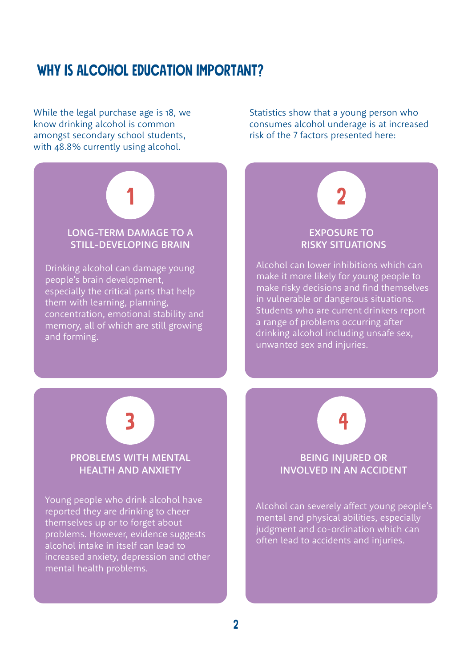# WHY IS ALCOHOL EDUCATION IMPORTANT?

While the legal purchase age is 18, we know drinking alcohol is common amongst secondary school students, with 48.8% currently using alcohol.

increased anxiety, depression and other

mental health problems.

LONG-TERM DAMAGE TO A STILL-DEVELOPING BRAIN Drinking alcohol can damage young people's brain development, especially the critical parts that help them with learning, planning, concentration, emotional stability and memory, all of which are still growing and forming. 1 PROBLEMS WITH MENTAL HEALTH AND ANXIETY Young people who drink alcohol have reported they are drinking to cheer themselves up or to forget about problems. However, evidence suggests alcohol intake in itself can lead to 3 2 EXPOSURE TO RISKY SITUATIONS Alcohol can lower inhibitions which can make it more likely for young people to make risky decisions and find themselves in vulnerable or dangerous situations. Students who are current drinkers report a range of problems occurring after drinking alcohol including unsafe sex, unwanted sex and injuries. 4 BEING INJURED OR INVOLVED IN AN ACCIDENT Alcohol can severely affect young people's mental and physical abilities, especially judgment and co-ordination which can often lead to accidents and injuries.

Statistics show that a young person who consumes alcohol underage is at increased risk of the 7 factors presented here:

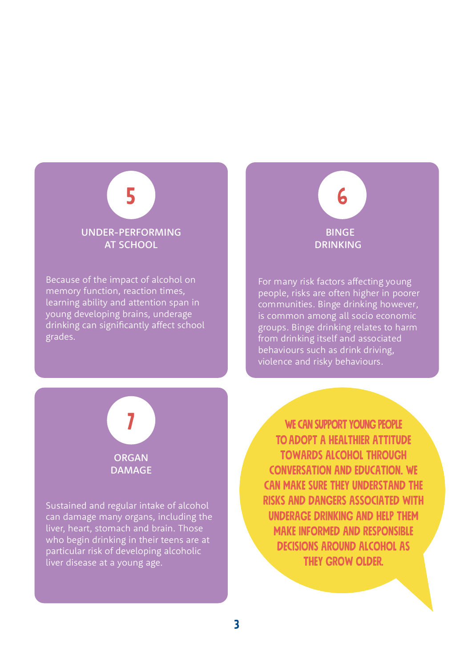

Because of the impact of alcohol on memory function, reaction times, learning ability and attention span in young developing brains, underage drinking can significantly affect school grades.

# 6 BINGE DRINKING

For many risk factors affecting young<br>people, risks are often higher in poorer<br>communities. Binge drinking however,<br>is common among all socio economic<br>groups. Binge drinking relates to harm<br>from drinking itself and associa



DAMAGE

Sustained and regular intake of alcohol can damage many organs, including the liver, heart, stomach and brain. Those who begin drinking in their teens are at particular risk of developing alcoholic liver disease at a young age.

WE CAN SUPPORT YOUNG PEOPLE toadopt a healthier attitude towards alcohol through conversation and education. We can make sure they understand the risks and dangers associated with underage drinking and help them make informed and responsible decisions around alcohol as they grow older.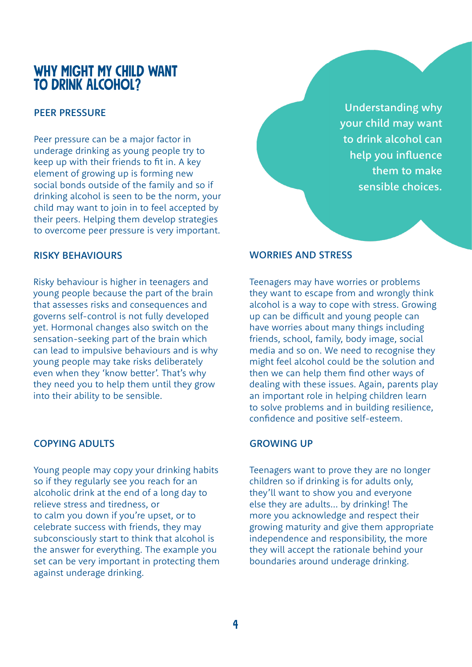# WHY MIGHT MY CHILD WANT TO DRINK ALCOHOL?

## PEER PRESSURE

Peer pressure can be a major factor in underage drinking as young people try to keep up with their friends to fit in. A key element of growing up is forming new social bonds outside of the family and so if drinking alcohol is seen to be the norm, your child may want to join in to feel accepted by their peers. Helping them develop strategies to overcome peer pressure is very important.

#### RISKY BEHAVIOURS

Risky behaviour is higher in teenagers and young people because the part of the brain that assesses risks and consequences and governs self-control is not fully developed yet. Hormonal changes also switch on the sensation-seeking part of the brain which can lead to impulsive behaviours and is why young people may take risks deliberately even when they 'know better'. That's why they need you to help them until they grow into their ability to be sensible.

#### COPYING ADULTS

Young people may copy your drinking habits so if they regularly see you reach for an alcoholic drink at the end of a long day to relieve stress and tiredness, or to calm you down if you're upset, or to celebrate success with friends, they may subconsciously start to think that alcohol is the answer for everything. The example you set can be very important in protecting them against underage drinking.

Understanding why your child may want to drink alcohol can help you influence them to make sensible choices.

#### WORRIES AND STRESS

Teenagers may have worries or problems they want to escape from and wrongly think alcohol is a way to cope with stress. Growing up can be difficult and young people can have worries about many things including friends, school, family, body image, social media and so on. We need to recognise they might feel alcohol could be the solution and then we can help them find other ways of dealing with these issues. Again, parents play an important role in helping children learn to solve problems and in building resilience, confidence and positive self-esteem.

#### GROWING UP

Teenagers want to prove they are no longer children so if drinking is for adults only, they'll want to show you and everyone else they are adults... by drinking! The more you acknowledge and respect their growing maturity and give them appropriate independence and responsibility, the more they will accept the rationale behind your boundaries around underage drinking.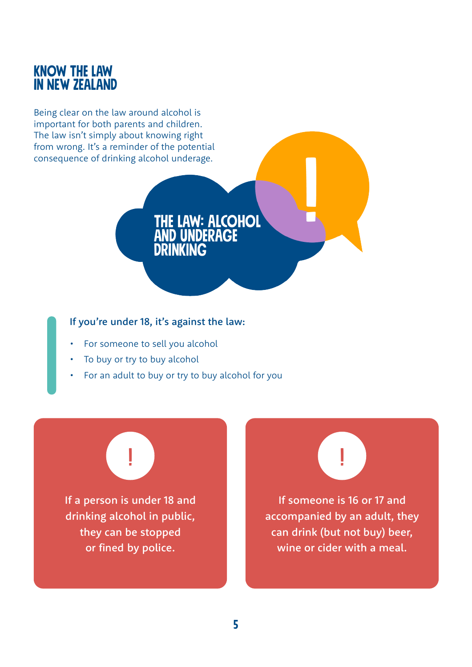# KnOW THE LaW in NEW ZEALAND

Being clear on the law around alcohol is important for both parents and children. The law isn't simply about knowing right from wrong. It's a reminder of the potential consequence of drinking alcohol underage.

### If you're under 18, it's against the law:

- For someone to sell you alcohol
- To buy or try to buy alcohol
- For an adult to buy or try to buy alcohol for you

DRINKING

the law: ALCOHOL **D UNDERAGE** 

If a person is under 18 and drinking alcohol in public, they can be stopped or fined by police.

|<br>|<br>|



If someone is 16 or 17 and accompanied by an adult, they can drink (but not buy) beer, wine or cider with a meal.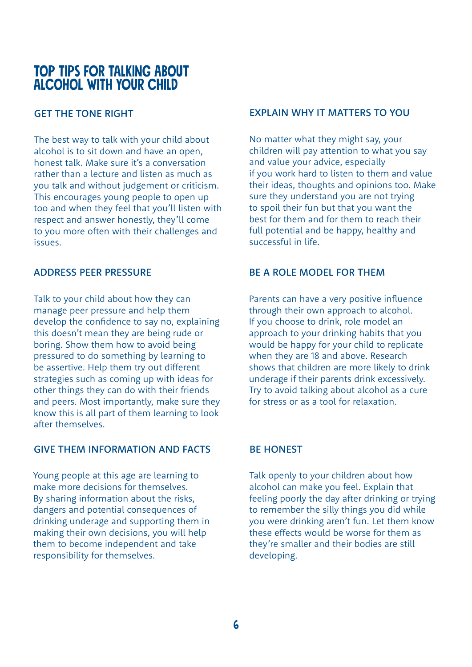# TOP TIPS FOR TALKING ABOUT ALCOHOL WITH YOUR CHILD

# GET THE TONE RIGHT

The best way to talk with your child about alcohol is to sit down and have an open, honest talk. Make sure it's a conversation rather than a lecture and listen as much as you talk and without judgement or criticism. This encourages young people to open up too and when they feel that you'll listen with respect and answer honestly, they'll come to you more often with their challenges and issues.

#### ADDRESS PEER PRESSURE

Talk to your child about how they can manage peer pressure and help them develop the confidence to say no, explaining this doesn't mean they are being rude or boring. Show them how to avoid being pressured to do something by learning to be assertive. Help them try out different strategies such as coming up with ideas for other things they can do with their friends and peers. Most importantly, make sure they know this is all part of them learning to look after themselves.

#### GIVE THEM INFORMATION AND FACTS

Young people at this age are learning to make more decisions for themselves. By sharing information about the risks, dangers and potential consequences of drinking underage and supporting them in making their own decisions, you will help them to become independent and take responsibility for themselves.

### EXPLAIN WHY IT MATTERS TO YOU

No matter what they might say, your children will pay attention to what you say and value your advice, especially if you work hard to listen to them and value their ideas, thoughts and opinions too. Make sure they understand you are not trying to spoil their fun but that you want the best for them and for them to reach their full potential and be happy, healthy and successful in life.

## BE A ROLE MODEL FOR THEM

Parents can have a very positive influence through their own approach to alcohol. If you choose to drink, role model an approach to your drinking habits that you would be happy for your child to replicate when they are 18 and above. Research shows that children are more likely to drink underage if their parents drink excessively. Try to avoid talking about alcohol as a cure for stress or as a tool for relaxation.

# BE HONEST

Talk openly to your children about how alcohol can make you feel. Explain that feeling poorly the day after drinking or trying to remember the silly things you did while you were drinking aren't fun. Let them know these effects would be worse for them as they're smaller and their bodies are still developing.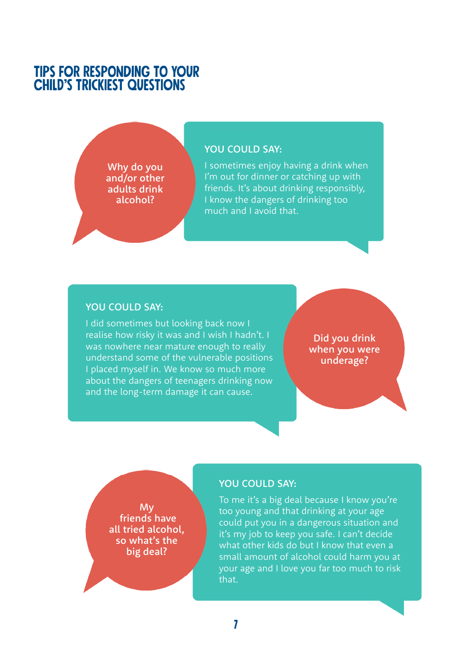# TIPS FOR RESPONDING TO YOUR **CHILD'S TRICKIEST QUESTIONS**

Why do you and/or other adults drink alcohol?

#### YOU COULD SAY:

I sometimes enjoy having a drink when I'm out for dinner or catching up with friends. It's about drinking responsibly, I know the dangers of drinking too much and I avoid that.

#### YOU COULD SAY:

I did sometimes but looking back now I realise how risky it was and I wish I hadn't. I was nowhere near mature enough to really understand some of the vulnerable positions I placed myself in. We know so much more about the dangers of teenagers drinking now and the long-term damage it can cause.

Did you drink when you were underage?

My friends have all tried alcohol, so what's the big deal?

#### YOU COULD SAY:

To me it's a big deal because I know you're too young and that drinking at your age could put you in a dangerous situation and it's my job to keep you safe. I can't decide what other kids do but I know that even a small amount of alcohol could harm you at your age and I love you far too much to risk that.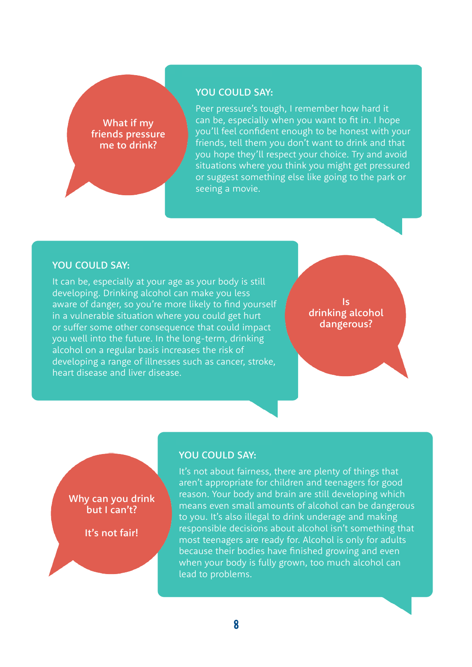#### YOU COULD SAY:

What if my friends pressure me to drink?

Peer pressure's tough, I remember how hard it can be, especially when you want to fit in. I hope you'll feel confident enough to be honest with your friends, tell them you don't want to drink and that you hope they'll respect your choice. Try and avoid situations where you think you might get pressured or suggest something else like going to the park or seeing a movie.

#### YOU COULD SAY:

Why can you drink but I can't?

It's not fair!

It can be, especially at your age as your body is still developing. Drinking alcohol can make you less aware of danger, so you're more likely to find yourself in a vulnerable situation where you could get hurt or suffer some other consequence that could impact you well into the future. In the long-term, drinking alcohol on a regular basis increases the risk of developing a range of illnesses such as cancer, stroke, heart disease and liver disease.

Is drinking alcohol dangerous?

# YOU COULD SAY:

It's not about fairness, there are plenty of things that aren't appropriate for children and teenagers for good reason. Your body and brain are still developing which means even small amounts of alcohol can be dangerous to you. It's also illegal to drink underage and making responsible decisions about alcohol isn't something that most teenagers are ready for. Alcohol is only for adults because their bodies have finished growing and even when your body is fully grown, too much alcohol can lead to problems.